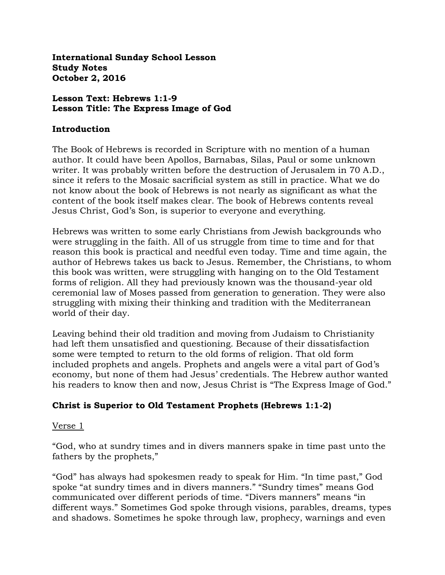**International Sunday School Lesson Study Notes October 2, 2016**

#### **Lesson Text: Hebrews 1:1-9 Lesson Title: The Express Image of God**

#### **Introduction**

The Book of Hebrews is recorded in Scripture with no mention of a human author. It could have been Apollos, Barnabas, Silas, Paul or some unknown writer. It was probably written before the destruction of Jerusalem in 70 A.D., since it refers to the Mosaic sacrificial system as still in practice. What we do not know about the book of Hebrews is not nearly as significant as what the content of the book itself makes clear. The book of Hebrews contents reveal Jesus Christ, God's Son, is superior to everyone and everything.

Hebrews was written to some early Christians from Jewish backgrounds who were struggling in the faith. All of us struggle from time to time and for that reason this book is practical and needful even today. Time and time again, the author of Hebrews takes us back to Jesus. Remember, the Christians, to whom this book was written, were struggling with hanging on to the Old Testament forms of religion. All they had previously known was the thousand-year old ceremonial law of Moses passed from generation to generation. They were also struggling with mixing their thinking and tradition with the Mediterranean world of their day.

Leaving behind their old tradition and moving from Judaism to Christianity had left them unsatisfied and questioning. Because of their dissatisfaction some were tempted to return to the old forms of religion. That old form included prophets and angels. Prophets and angels were a vital part of God's economy, but none of them had Jesus' credentials. The Hebrew author wanted his readers to know then and now, Jesus Christ is "The Express Image of God."

# **Christ is Superior to Old Testament Prophets (Hebrews 1:1-2)**

#### Verse 1

"God, who at sundry times and in divers manners spake in time past unto the fathers by the prophets,"

"God" has always had spokesmen ready to speak for Him. "In time past," God spoke "at sundry times and in divers manners." "Sundry times" means God communicated over different periods of time. "Divers manners" means "in different ways." Sometimes God spoke through visions, parables, dreams, types and shadows. Sometimes he spoke through law, prophecy, warnings and even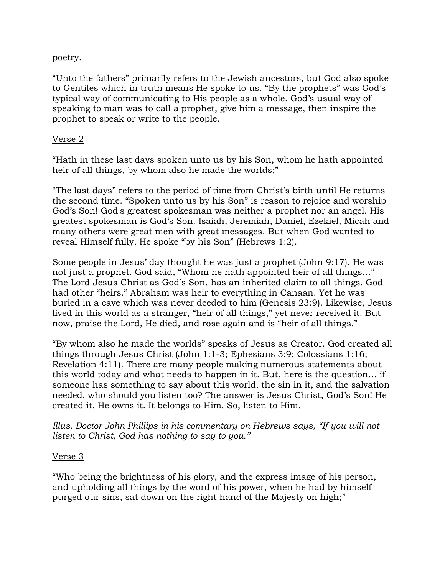#### poetry.

"Unto the fathers" primarily refers to the Jewish ancestors, but God also spoke to Gentiles which in truth means He spoke to us. "By the prophets" was God's typical way of communicating to His people as a whole. God's usual way of speaking to man was to call a prophet, give him a message, then inspire the prophet to speak or write to the people.

### Verse 2

"Hath in these last days spoken unto us by his Son, whom he hath appointed heir of all things, by whom also he made the worlds;"

"The last days" refers to the period of time from Christ's birth until He returns the second time. "Spoken unto us by his Son" is reason to rejoice and worship God's Son! God's greatest spokesman was neither a prophet nor an angel. His greatest spokesman is God's Son. Isaiah, Jeremiah, Daniel, Ezekiel, Micah and many others were great men with great messages. But when God wanted to reveal Himself fully, He spoke "by his Son" (Hebrews 1:2).

Some people in Jesus' day thought he was just a prophet (John 9:17). He was not just a prophet. God said, "Whom he hath appointed heir of all things…" The Lord Jesus Christ as God's Son, has an inherited claim to all things. God had other "heirs." Abraham was heir to everything in Canaan. Yet he was buried in a cave which was never deeded to him (Genesis 23:9). Likewise, Jesus lived in this world as a stranger, "heir of all things," yet never received it. But now, praise the Lord, He died, and rose again and is "heir of all things."

"By whom also he made the worlds" speaks of Jesus as Creator. God created all things through Jesus Christ (John 1:1-3; Ephesians 3:9; Colossians 1:16; Revelation 4:11). There are many people making numerous statements about this world today and what needs to happen in it. But, here is the question… if someone has something to say about this world, the sin in it, and the salvation needed, who should you listen too? The answer is Jesus Christ, God's Son! He created it. He owns it. It belongs to Him. So, listen to Him.

*Illus. Doctor John Phillips in his commentary on Hebrews says, "If you will not listen to Christ, God has nothing to say to you."*

# Verse 3

"Who being the brightness of his glory, and the express image of his person, and upholding all things by the word of his power, when he had by himself purged our sins, sat down on the right hand of the Majesty on high;"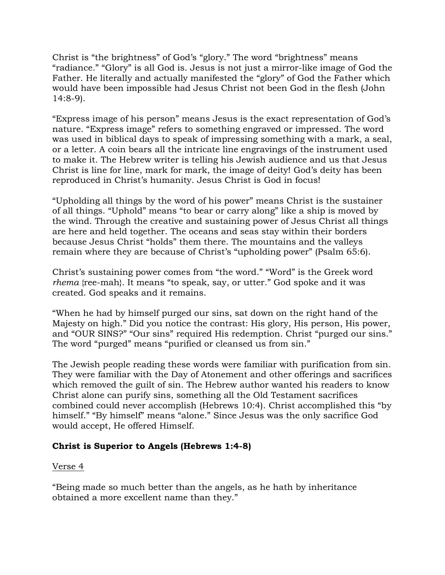Christ is "the brightness" of God's "glory." The word "brightness" means "radiance." "Glory" is all God is. Jesus is not just a mirror-like image of God the Father. He literally and actually manifested the "glory" of God the Father which would have been impossible had Jesus Christ not been God in the flesh (John 14:8-9).

"Express image of his person" means Jesus is the exact representation of God's nature. "Express image" refers to something engraved or impressed. The word was used in biblical days to speak of impressing something with a mark, a seal, or a letter. A coin bears all the intricate line engravings of the instrument used to make it. The Hebrew writer is telling his Jewish audience and us that Jesus Christ is line for line, mark for mark, the image of deity! God's deity has been reproduced in Christ's humanity. Jesus Christ is God in focus!

"Upholding all things by the word of his power" means Christ is the sustainer of all things. "Uphold" means "to bear or carry along" like a ship is moved by the wind. Through the creative and sustaining power of Jesus Christ all things are here and held together. The oceans and seas stay within their borders because Jesus Christ "holds" them there. The mountains and the valleys remain where they are because of Christ's "upholding power" (Psalm 65:6).

Christ's sustaining power comes from "the word." "Word" is the Greek word *rhema* {ree-mah}. It means "to speak, say, or utter." God spoke and it was created. God speaks and it remains.

"When he had by himself purged our sins, sat down on the right hand of the Majesty on high." Did you notice the contrast: His glory, His person, His power, and "OUR SINS?" "Our sins" required His redemption. Christ "purged our sins." The word "purged" means "purified or cleansed us from sin."

The Jewish people reading these words were familiar with purification from sin. They were familiar with the Day of Atonement and other offerings and sacrifices which removed the guilt of sin. The Hebrew author wanted his readers to know Christ alone can purify sins, something all the Old Testament sacrifices combined could never accomplish (Hebrews 10:4). Christ accomplished this "by himself." "By himself" means "alone." Since Jesus was the only sacrifice God would accept, He offered Himself.

# **Christ is Superior to Angels (Hebrews 1:4-8)**

# Verse 4

"Being made so much better than the angels, as he hath by inheritance obtained a more excellent name than they."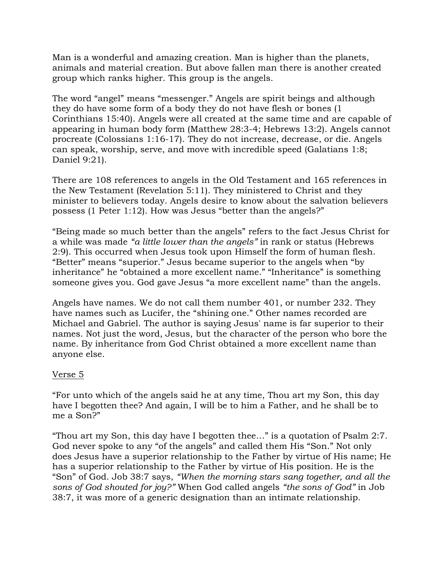Man is a wonderful and amazing creation. Man is higher than the planets, animals and material creation. But above fallen man there is another created group which ranks higher. This group is the angels.

The word "angel" means "messenger." Angels are spirit beings and although they do have some form of a body they do not have flesh or bones (1 Corinthians 15:40). Angels were all created at the same time and are capable of appearing in human body form (Matthew 28:3-4; Hebrews 13:2). Angels cannot procreate (Colossians 1:16-17). They do not increase, decrease, or die. Angels can speak, worship, serve, and move with incredible speed (Galatians 1:8; Daniel 9:21).

There are 108 references to angels in the Old Testament and 165 references in the New Testament (Revelation 5:11). They ministered to Christ and they minister to believers today. Angels desire to know about the salvation believers possess (1 Peter 1:12). How was Jesus "better than the angels?"

"Being made so much better than the angels" refers to the fact Jesus Christ for a while was made *"a little lower than the angels"* in rank or status (Hebrews 2:9). This occurred when Jesus took upon Himself the form of human flesh. "Better" means "superior." Jesus became superior to the angels when "by inheritance" he "obtained a more excellent name." "Inheritance" is something someone gives you. God gave Jesus "a more excellent name" than the angels.

Angels have names. We do not call them number 401, or number 232. They have names such as Lucifer, the "shining one." Other names recorded are Michael and Gabriel. The author is saying Jesus' name is far superior to their names. Not just the word, Jesus, but the character of the person who bore the name. By inheritance from God Christ obtained a more excellent name than anyone else.

# Verse 5

"For unto which of the angels said he at any time, Thou art my Son, this day have I begotten thee? And again, I will be to him a Father, and he shall be to me a Son?"

"Thou art my Son, this day have I begotten thee…" is a quotation of Psalm 2:7. God never spoke to any "of the angels" and called them His "Son." Not only does Jesus have a superior relationship to the Father by virtue of His name; He has a superior relationship to the Father by virtue of His position. He is the "Son" of God. Job 38:7 says, *"When the morning stars sang together, and all the sons of God shouted for joy?"* When God called angels *"the sons of God"* in Job 38:7, it was more of a generic designation than an intimate relationship.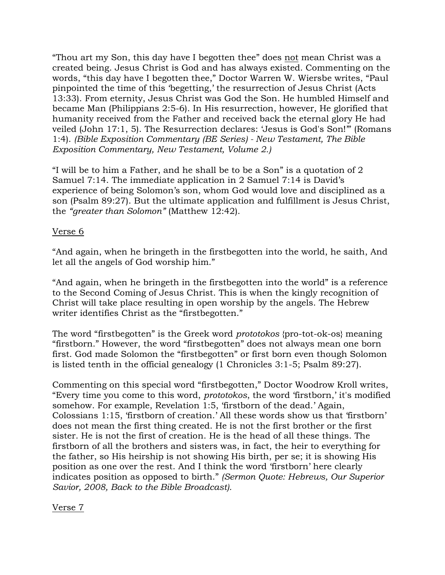"Thou art my Son, this day have I begotten thee" does not mean Christ was a created being. Jesus Christ is God and has always existed. Commenting on the words, "this day have I begotten thee," Doctor Warren W. Wiersbe writes, "Paul pinpointed the time of this 'begetting,' the resurrection of Jesus Christ (Acts 13:33). From eternity, Jesus Christ was God the Son. He humbled Himself and became Man (Philippians 2:5-6). In His resurrection, however, He glorified that humanity received from the Father and received back the eternal glory He had veiled (John 17:1, 5). The Resurrection declares: 'Jesus is God's Son!'" (Romans 1:4). *(Bible Exposition Commentary (BE Series) - New Testament, The Bible Exposition Commentary, New Testament, Volume 2.)*

"I will be to him a Father, and he shall be to be a Son" is a quotation of 2 Samuel 7:14. The immediate application in 2 Samuel 7:14 is David's experience of being Solomon's son, whom God would love and disciplined as a son (Psalm 89:27). But the ultimate application and fulfillment is Jesus Christ, the *"greater than Solomon"* (Matthew 12:42).

### Verse 6

"And again, when he bringeth in the firstbegotten into the world, he saith, And let all the angels of God worship him."

"And again, when he bringeth in the firstbegotten into the world" is a reference to the Second Coming of Jesus Christ. This is when the kingly recognition of Christ will take place resulting in open worship by the angels. The Hebrew writer identifies Christ as the "firstbegotten."

The word "firstbegotten" is the Greek word *prototokos* {pro-tot-ok-os} meaning "firstborn." However, the word "firstbegotten" does not always mean one born first. God made Solomon the "firstbegotten" or first born even though Solomon is listed tenth in the official genealogy (1 Chronicles 3:1-5; Psalm 89:27).

Commenting on this special word "firstbegotten," Doctor Woodrow Kroll writes, "Every time you come to this word, *prototokos*, the word 'firstborn,' it's modified somehow. For example, Revelation 1:5, 'firstborn of the dead.' Again, Colossians 1:15, 'firstborn of creation.' All these words show us that 'firstborn' does not mean the first thing created. He is not the first brother or the first sister. He is not the first of creation. He is the head of all these things. The firstborn of all the brothers and sisters was, in fact, the heir to everything for the father, so His heirship is not showing His birth, per se; it is showing His position as one over the rest. And I think the word 'firstborn' here clearly indicates position as opposed to birth." *(Sermon Quote: Hebrews, Our Superior Savior, 2008, Back to the Bible Broadcast).*

Verse 7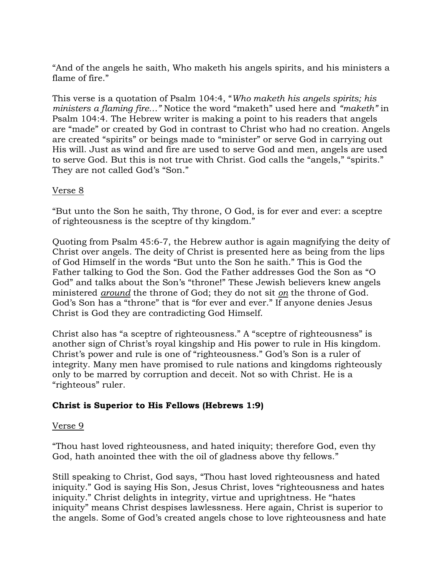"And of the angels he saith, Who maketh his angels spirits, and his ministers a flame of fire."

This verse is a quotation of Psalm 104:4, "*Who maketh his angels spirits; his ministers a flaming fire…"* Notice the word "maketh" used here and *"maketh"* in Psalm 104:4. The Hebrew writer is making a point to his readers that angels are "made" or created by God in contrast to Christ who had no creation. Angels are created "spirits" or beings made to "minister" or serve God in carrying out His will. Just as wind and fire are used to serve God and men, angels are used to serve God. But this is not true with Christ. God calls the "angels," "spirits." They are not called God's "Son."

### Verse 8

"But unto the Son he saith, Thy throne, O God, is for ever and ever: a sceptre of righteousness is the sceptre of thy kingdom."

Quoting from Psalm 45:6-7, the Hebrew author is again magnifying the deity of Christ over angels. The deity of Christ is presented here as being from the lips of God Himself in the words "But unto the Son he saith." This is God the Father talking to God the Son. God the Father addresses God the Son as "O God" and talks about the Son's "throne!" These Jewish believers knew angels ministered *around* the throne of God; they do not sit *on* the throne of God. God's Son has a "throne" that is "for ever and ever." If anyone denies Jesus Christ is God they are contradicting God Himself.

Christ also has "a sceptre of righteousness." A "sceptre of righteousness" is another sign of Christ's royal kingship and His power to rule in His kingdom. Christ's power and rule is one of "righteousness." God's Son is a ruler of integrity. Many men have promised to rule nations and kingdoms righteously only to be marred by corruption and deceit. Not so with Christ. He is a "righteous" ruler.

# **Christ is Superior to His Fellows (Hebrews 1:9)**

#### Verse 9

"Thou hast loved righteousness, and hated iniquity; therefore God, even thy God, hath anointed thee with the oil of gladness above thy fellows."

Still speaking to Christ, God says, "Thou hast loved righteousness and hated iniquity." God is saying His Son, Jesus Christ, loves "righteousness and hates iniquity." Christ delights in integrity, virtue and uprightness. He "hates iniquity" means Christ despises lawlessness. Here again, Christ is superior to the angels. Some of God's created angels chose to love righteousness and hate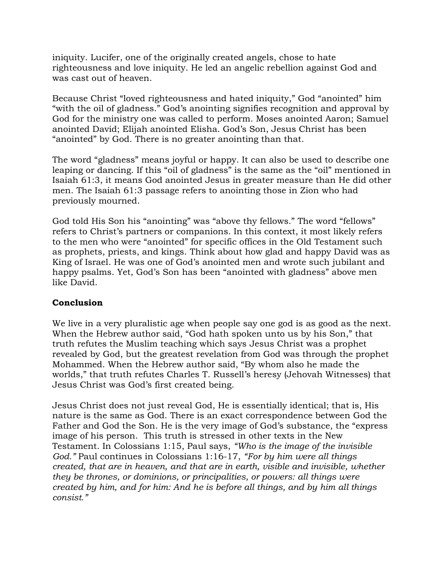iniquity. Lucifer, one of the originally created angels, chose to hate righteousness and love iniquity. He led an angelic rebellion against God and was cast out of heaven.

Because Christ "loved righteousness and hated iniquity," God "anointed" him "with the oil of gladness." God's anointing signifies recognition and approval by God for the ministry one was called to perform. Moses anointed Aaron; Samuel anointed David; Elijah anointed Elisha. God's Son, Jesus Christ has been "anointed" by God. There is no greater anointing than that.

The word "gladness" means joyful or happy. It can also be used to describe one leaping or dancing. If this "oil of gladness" is the same as the "oil" mentioned in Isaiah 61:3, it means God anointed Jesus in greater measure than He did other men. The Isaiah 61:3 passage refers to anointing those in Zion who had previously mourned.

God told His Son his "anointing" was "above thy fellows." The word "fellows" refers to Christ's partners or companions. In this context, it most likely refers to the men who were "anointed" for specific offices in the Old Testament such as prophets, priests, and kings. Think about how glad and happy David was as King of Israel. He was one of God's anointed men and wrote such jubilant and happy psalms. Yet, God's Son has been "anointed with gladness" above men like David.

# **Conclusion**

We live in a very pluralistic age when people say one god is as good as the next. When the Hebrew author said, "God hath spoken unto us by his Son," that truth refutes the Muslim teaching which says Jesus Christ was a prophet revealed by God, but the greatest revelation from God was through the prophet Mohammed. When the Hebrew author said, "By whom also he made the worlds," that truth refutes Charles T. Russell's heresy (Jehovah Witnesses) that Jesus Christ was God's first created being.

Jesus Christ does not just reveal God, He is essentially identical; that is, His nature is the same as God. There is an exact correspondence between God the Father and God the Son. He is the very image of God's substance, the "express image of his person. This truth is stressed in other texts in the New Testament. In Colossians 1:15, Paul says, *"Who is the image of the invisible God."* Paul continues in Colossians 1:16-17, *"For by him were all things created, that are in heaven, and that are in earth, visible and invisible, whether they be thrones, or dominions, or principalities, or powers: all things were created by him, and for him: And he is before all things, and by him all things consist."*